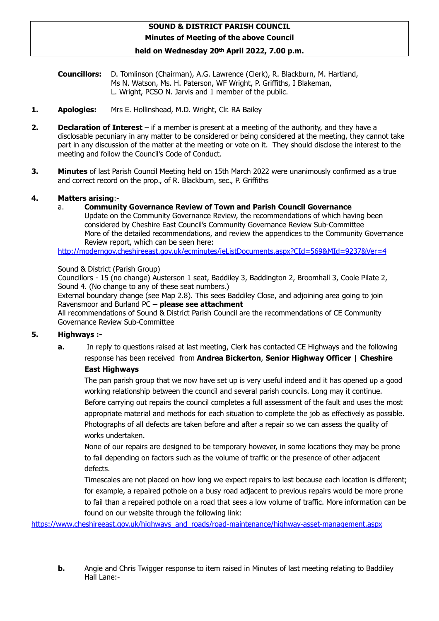## **SOUND & DISTRICT PARISH COUNCIL Minutes of Meeting of the above Council**

#### **held on Wednesday 20th April 2022, 7.00 p.m.**

**Councillors:** D. Tomlinson (Chairman), A.G. Lawrence (Clerk), R. Blackburn, M. Hartland, Ms N. Watson, Ms. H. Paterson, WF Wright, P. Griffiths, I Blakeman, L. Wright, PCSO N. Jarvis and 1 member of the public.

- **1. Apologies:** Mrs E. Hollinshead, M.D. Wright, Clr. RA Bailey
- **2. Declaration of Interest** if a member is present at a meeting of the authority, and they have a disclosable pecuniary in any matter to be considered or being considered at the meeting, they cannot take part in any discussion of the matter at the meeting or vote on it. They should disclose the interest to the meeting and follow the Council's Code of Conduct.
- **3. Minutes** of last Parish Council Meeting held on 15th March 2022 were unanimously confirmed as a true and correct record on the prop., of R. Blackburn, sec., P. Griffiths

#### **4. Matters arising**:-

a. **Community Governance Review of Town and Parish Council Governance**

Update on the Community Governance Review, the recommendations of which having been considered by Cheshire East Council's Community Governance Review Sub-Committee More of the detailed recommendations, and review the appendices to the Community Governance Review report, which can be seen here:

<http://moderngov.cheshireeast.gov.uk/ecminutes/ieListDocuments.aspx?CId=569&MId=9237&Ver=4>

Sound & District (Parish Group)

Councillors - 15 (no change) Austerson 1 seat, Baddiley 3, Baddington 2, Broomhall 3, Coole Pilate 2, Sound 4. (No change to any of these seat numbers.)

External boundary change (see Map 2.8). This sees Baddiley Close, and adjoining area going to join Ravensmoor and Burland PC **– please see attachment**

All recommendations of Sound & District Parish Council are the recommendations of CE Community Governance Review Sub-Committee

## **5. Highways :-**

**a.** In reply to questions raised at last meeting, Clerk has contacted CE Highways and the following response has been received from **Andrea Bickerton**, **Senior Highway Officer | Cheshire East Highways**

The pan parish group that we now have set up is very useful indeed and it has opened up a good working relationship between the council and several parish councils. Long may it continue. Before carrying out repairs the council completes a full assessment of the fault and uses the most appropriate material and methods for each situation to complete the job as effectively as possible. Photographs of all defects are taken before and after a repair so we can assess the quality of works undertaken.

None of our repairs are designed to be temporary however, in some locations they may be prone to fail depending on factors such as the volume of traffic or the presence of other adjacent defects.

Timescales are not placed on how long we expect repairs to last because each location is different; for example, a repaired pothole on a busy road adjacent to previous repairs would be more prone to fail than a repaired pothole on a road that sees a low volume of traffic. More information can be found on our website through the following link:

[https://www.cheshireeast.gov.uk/highways\\_and\\_roads/road-maintenance/highway-asset-management.aspx](https://www.cheshireeast.gov.uk/highways_and_roads/road-maintenance/highway-asset-management.aspx)

**b.** Angie and Chris Twigger response to item raised in Minutes of last meeting relating to Baddiley Hall Lane:-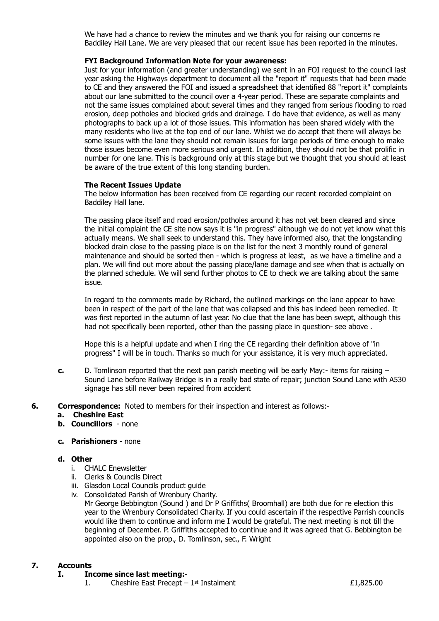We have had a chance to review the minutes and we thank you for raising our concerns re Baddiley Hall Lane. We are very pleased that our recent issue has been reported in the minutes.

#### **FYI Background Information Note for your awareness:**

Just for your information (and greater understanding) we sent in an FOI request to the council last year asking the Highways department to document all the "report it" requests that had been made to CE and they answered the FOI and issued a spreadsheet that identified 88 "report it" complaints about our lane submitted to the council over a 4-year period. These are separate complaints and not the same issues complained about several times and they ranged from serious flooding to road erosion, deep potholes and blocked grids and drainage. I do have that evidence, as well as many photographs to back up a lot of those issues. This information has been shared widely with the many residents who live at the top end of our lane. Whilst we do accept that there will always be some issues with the lane they should not remain issues for large periods of time enough to make those issues become even more serious and urgent. In addition, they should not be that prolific in number for one lane. This is background only at this stage but we thought that you should at least be aware of the true extent of this long standing burden.

#### **The Recent Issues Update**

The below information has been received from CE regarding our recent recorded complaint on Baddiley Hall lane.

The passing place itself and road erosion/potholes around it has not yet been cleared and since the initial complaint the CE site now says it is "in progress" although we do not yet know what this actually means. We shall seek to understand this. They have informed also, that the longstanding blocked drain close to the passing place is on the list for the next 3 monthly round of general maintenance and should be sorted then - which is progress at least, as we have a timeline and a plan. We will find out more about the passing place/lane damage and see when that is actually on the planned schedule. We will send further photos to CE to check we are talking about the same issue.

In regard to the comments made by Richard, the outlined markings on the lane appear to have been in respect of the part of the lane that was collapsed and this has indeed been remedied. It was first reported in the autumn of last year. No clue that the lane has been swept, although this had not specifically been reported, other than the passing place in question- see above .

Hope this is a helpful update and when I ring the CE regarding their definition above of "in progress" I will be in touch. Thanks so much for your assistance, it is very much appreciated.

- **c.** D. Tomlinson reported that the next pan parish meeting will be early May:- items for raising Sound Lane before Railway Bridge is in a really bad state of repair; junction Sound Lane with A530 signage has still never been repaired from accident
- **6. Correspondence:** Noted to members for their inspection and interest as follows:
	- **a. Cheshire East**
	- **b. Councillors** none

#### **c. Parishioners** - none

- **d. Other**
	- i. CHALC Enewsletter
	- ii. Clerks & Councils Direct
	- iii. Glasdon Local Councils product guide
	- iv. Consolidated Parish of Wrenbury Charity.

Mr George Bebbington (Sound ) and Dr P Griffiths( Broomhall) are both due for re election this year to the Wrenbury Consolidated Charity. If you could ascertain if the respective Parrish councils would like them to continue and inform me I would be grateful. The next meeting is not till the beginning of December. P. Griffiths accepted to continue and it was agreed that G. Bebbington be appointed also on the prop., D. Tomlinson, sec., F. Wright

#### **7. Accounts**

#### **I. Income since last meeting:**-

1. Cheshire East Precept –  $1<sup>st</sup>$  Instalment  $\epsilon$ 1,825.00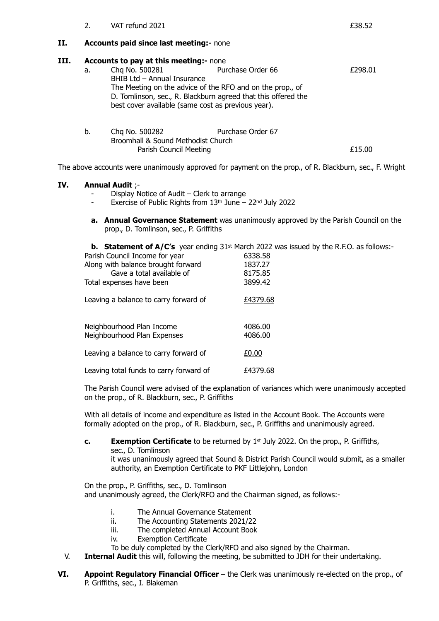|      | $\mathcal{L}_{\mathcal{L}}$ | VAT refund 2021                                                                                                                                                                                                                                                                    |                   | £38.52  |  |
|------|-----------------------------|------------------------------------------------------------------------------------------------------------------------------------------------------------------------------------------------------------------------------------------------------------------------------------|-------------------|---------|--|
| II.  |                             | <b>Accounts paid since last meeting:- none</b>                                                                                                                                                                                                                                     |                   |         |  |
| III. | a.                          | <b>Accounts to pay at this meeting:- none</b><br>Chg No. 500281<br>BHIB Ltd - Annual Insurance<br>The Meeting on the advice of the RFO and on the prop., of<br>D. Tomlinson, sec., R. Blackburn agreed that this offered the<br>best cover available (same cost as previous year). | Purchase Order 66 | £298.01 |  |
|      | b.                          | Chg No. 500282<br>Broomhall & Sound Methodist Church<br>Parish Council Meeting                                                                                                                                                                                                     | Purchase Order 67 | £15.00  |  |

The above accounts were unanimously approved for payment on the prop., of R. Blackburn, sec., F. Wright

## **IV. Annual Audit** ;-

- Display Notice of Audit Clerk to arrange
- Exercise of Public Rights from  $13<sup>th</sup>$  June 22<sup>nd</sup> July 2022
- **a. Annual Governance Statement** was unanimously approved by the Parish Council on the prop., D. Tomlinson, sec., P. Griffiths

**b. Statement of A/C's** year ending 31<sup>st</sup> March 2022 was issued by the R.F.O. as follows:-

| Parish Council Income for year                           | 6338.58            |
|----------------------------------------------------------|--------------------|
| Along with balance brought forward                       | 1837.27            |
| Gave a total available of                                | 8175.85            |
| Total expenses have been                                 | 3899.42            |
| Leaving a balance to carry forward of                    | £4379.68           |
| Neighbourhood Plan Income<br>Neighbourhood Plan Expenses | 4086.00<br>4086.00 |
| Leaving a balance to carry forward of                    | £0.00              |
| Leaving total funds to carry forward of                  | £4379.68           |

The Parish Council were advised of the explanation of variances which were unanimously accepted on the prop., of R. Blackburn, sec., P. Griffiths

With all details of income and expenditure as listed in the Account Book. The Accounts were formally adopted on the prop., of R. Blackburn, sec., P. Griffiths and unanimously agreed.

**c. Exemption Certificate** to be returned by 1st July 2022. On the prop., P. Griffiths, sec., D. Tomlinson

it was unanimously agreed that Sound & District Parish Council would submit, as a smaller authority, an Exemption Certificate to PKF Littlejohn, London

On the prop., P. Griffiths, sec., D. Tomlinson and unanimously agreed, the Clerk/RFO and the Chairman signed, as follows:-

- i. The Annual Governance Statement
- ii. The Accounting Statements 2021/22
- iii. The completed Annual Account Book
- iv. Exemption Certificate
- To be duly completed by the Clerk/RFO and also signed by the Chairman.
- V. **Internal Audit** this will, following the meeting, be submitted to JDH for their undertaking.
- **VI. Appoint Regulatory Financial Officer** the Clerk was unanimously re-elected on the prop., of P. Griffiths, sec., I. Blakeman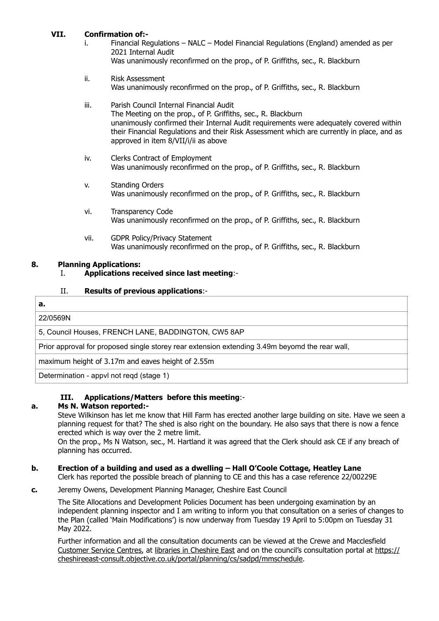## **VII. Confirmation of:-**

- i. Financial Regulations NALC Model Financial Regulations (England) amended as per 2021 Internal Audit Was unanimously reconfirmed on the prop., of P. Griffiths, sec., R. Blackburn
- ii. Risk Assessment Was unanimously reconfirmed on the prop., of P. Griffiths, sec., R. Blackburn
- iii. Parish Council Internal Financial Audit The Meeting on the prop., of P. Griffiths, sec., R. Blackburn unanimously confirmed their Internal Audit requirements were adequately covered within their Financial Regulations and their Risk Assessment which are currently in place, and as approved in item 8/VII/i/ii as above
- iv. Clerks Contract of Employment Was unanimously reconfirmed on the prop., of P. Griffiths, sec., R. Blackburn
- v. Standing Orders Was unanimously reconfirmed on the prop., of P. Griffiths, sec., R. Blackburn
- vi. Transparency Code Was unanimously reconfirmed on the prop., of P. Griffiths, sec., R. Blackburn
- vii. GDPR Policy/Privacy Statement Was unanimously reconfirmed on the prop., of P. Griffiths, sec., R. Blackburn

## **8. Planning Applications:**

## I. **Applications received since last meeting**:-

#### II. **Results of previous applications**:-

# **a.** 22/0569N 5, Council Houses, FRENCH LANE, BADDINGTON, CW5 8AP Prior approval for proposed single storey rear extension extending 3.49m beyomd the rear wall, maximum height of 3.17m and eaves height of 2.55m

Determination - appvl not reqd (stage 1)

## **III. Applications/Matters before this meeting**:-

## **a. Ms N. Watson reported:-**

Steve Wilkinson has let me know that Hill Farm has erected another large building on site. Have we seen a planning request for that? The shed is also right on the boundary. He also says that there is now a fence erected which is way over the 2 metre limit.

On the prop., Ms N Watson, sec., M. Hartland it was agreed that the Clerk should ask CE if any breach of planning has occurred.

## **b. Erection of a building and used as a dwelling – Hall O'Coole Cottage, Heatley Lane**

Clerk has reported the possible breach of planning to CE and this has a case reference 22/00229E

**c.** Jeremy Owens, Development Planning Manager, Cheshire East Council

The Site Allocations and Development Policies Document has been undergoing examination by an independent planning inspector and I am writing to inform you that consultation on a series of changes to the Plan (called 'Main Modifications') is now underway from Tuesday 19 April to 5:00pm on Tuesday 31 May 2022.

Further information and all the consultation documents can be viewed at the Crewe and Macclesfield [Customer Service Centres,](https://www.cheshireeast.gov.uk/council_and_democracy/customer-services/contact_us.aspx#Customerservicecentre) at [libraries in Cheshire East](https://www.cheshireeast.gov.uk/libraries/nearest_library/libraries-and-opening-hours.aspx) and on the council's consultation portal at [https://](https://cheshireeast-consult.objective.co.uk/portal/planning/cs/sadpd/mmschedule) [cheshireeast-consult.objective.co.uk/portal/planning/cs/sadpd/mmschedule](https://cheshireeast-consult.objective.co.uk/portal/planning/cs/sadpd/mmschedule).